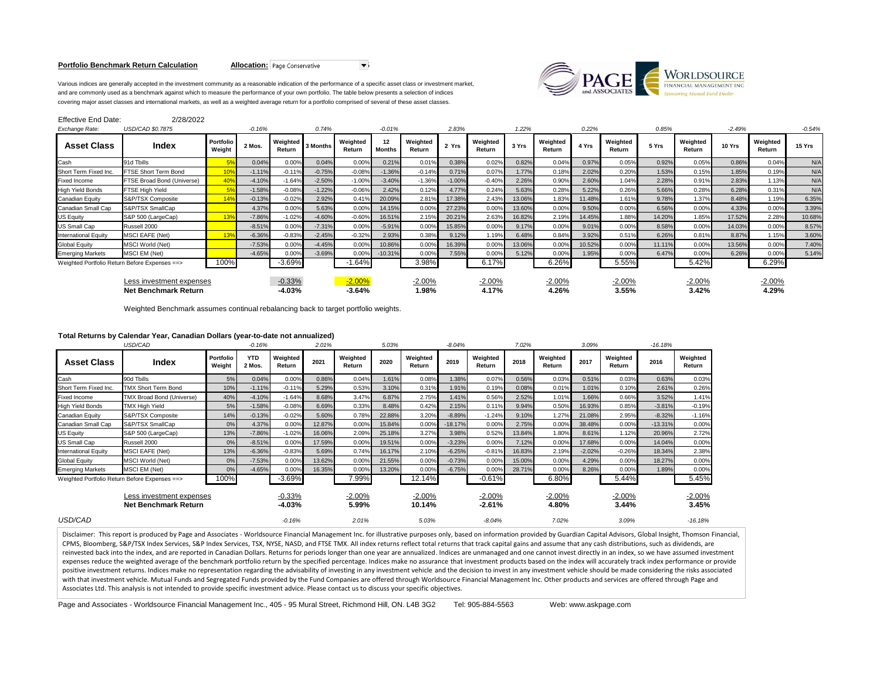## **Portfolio Benchmark Return Calculation <b>Allocation:** Page Conservative



Various indices are generally accepted in the investment community as a reasonable indication of the performance of a specific asset class or investment market, and are commonly used as a benchmark against which to measure the performance of your own portfolio. The table below presents a selection of indices covering major asset classes and international markets, as well as a weighted average return for a portfolio comprised of several of these asset classes.

| <b>Effective End Date:</b>                              | 2/28/2022                  |                     |          |                      |          |                      |                     |                    |          |                    |        |                    |        |                    |        |                    |          |                    |          |
|---------------------------------------------------------|----------------------------|---------------------|----------|----------------------|----------|----------------------|---------------------|--------------------|----------|--------------------|--------|--------------------|--------|--------------------|--------|--------------------|----------|--------------------|----------|
| Exchange Rate:                                          | USD/CAD \$0.7875           |                     | $-0.16%$ |                      | 0.74%    |                      | $-0.01%$            |                    | 2.83%    |                    | 1.22%  |                    | 0.22%  |                    | 0.85%  |                    | $-2.49%$ |                    | $-0.54%$ |
| <b>Asset Class</b>                                      | Index                      | Portfolio<br>Weight | 2 Mos.   | Weighted<br>Return   | 3 Months | Weighted<br>Return   | 12<br><b>Months</b> | Weighted<br>Return | 2 Yrs    | Weighted<br>Return | 3 Yrs  | Weighted<br>Return | 4 Yrs  | Weighted<br>Return | 5 Yrs  | Weighted<br>Return | 10 Yrs   | Weighted<br>Return | 15 Yrs   |
| Cash                                                    | 91d Tbills                 |                     | 0.04%    | 0.00%                | 0.04%    | 0.00%                | 0.21%               | 0.01%              | 0.38%    | 0.02%              | 0.82%  | 0.04%              | 0.97%  | 0.05%              | 0.92%  | 0.05%              | 0.86%    | 0.04%              | N/A      |
| Short Term Fixed Inc.                                   | FTSE Short Term Bond       |                     | $-1.11%$ | $-0.11%$             | $-0.75%$ | $-0.08%$             | $-1.36%$            | $-0.14%$           | 0.71%    | 0.07%              | 1.77%  | 0.18%              | 2.02%  | 0.20%              | 1.53%  | 0.15%              | 1.85%    | 0.19%              | N/A      |
| <b>Fixed Income</b>                                     | FTSE Broad Bond (Universe) | 40 <sup>o</sup>     | $-4.10%$ | $-1.64%$             | $-2.50%$ | $-1.00%$             | $-3.40%$            | $-1.36%$           | $-1.00%$ | $-0.40%$           | 2.26%  | 0.90%              | 2.60%  | 1.04%              | 2.28%  | 0.91%              | 2.83%    | 1.13%              | N/A      |
| <b>High Yield Bonds</b>                                 | <b>FTSE High Yield</b>     |                     | $-1.58%$ | $-0.08%$             | $-1.22%$ | $-0.06%$             | 2.42%               | 0.12%              | 4.77%    | 0.24%              | 5.63%  | 0.28%              | 5.22%  | 0.26%              | 5.66%  | 0.28%              | 6.28%    | 0.31%              | N/A      |
| Canadian Equity                                         | S&P/TSX Composite          |                     | $-0.13%$ | $-0.02%$             | 2.92%    | 0.419                | 20.09%              | 2.81%              | 17.38%   | 2.43%              | 13.06% | 1.83%              | 11.48% | 1.61%              | 9.78%  | 1.37%              | 8.48%    | 1.19%              | 6.35%    |
| Canadian Small Cap                                      | S&P/TSX SmallCap           |                     | 4.37%    | 0.00%                | 5.63%    | 0.00%                | 14.15%              | 0.00%              | 27.23%   | 0.00%              | 13.60% | 0.00%              | 9.50%  | 0.00%              | 6.56%  | 0.00%              | 4.33%    | 0.00%              | 3.39%    |
| <b>US Equity</b>                                        | S&P 500 (LargeCap)         |                     | $-7.86%$ | $-1.02%$             | $-4.60%$ | $-0.60%$             | 16.51%              | 2.15%              | 20.21%   | 2.63%              | 16.82% | 2.19%              | 14.45% | 1.88%              | 14.20% | 1.85%              | 17.52%   | 2.28%              | 10.68%   |
| <b>US Small Cap</b>                                     | Russell 2000               |                     | $-8.51%$ | 0.00%                | $-7.31%$ | 0.00%                | $-5.91%$            | 0.00%              | 15.85%   | 0.00%              | 9.17%  | 0.00%              | 9.01%  | 0.00%              | 8.58%  | 0.00%              | 14.03%   | 0.00%              | 8.57%    |
| <b>International Equity</b>                             | <b>MSCI EAFE (Net)</b>     |                     | $-6.36%$ | $-0.83%$             | $-2.45%$ | $-0.32%$             | 2.93%               | 0.38%              | 9.12%    | 1.19%              | 6.48%  | 0.84%              | 3.92%  | 0.51%              | 6.26%  | 0.81%              | 8.87%    | 1.15%              | 3.60%    |
| <b>Global Equity</b>                                    | <b>MSCI World (Net)</b>    |                     | $-7.53%$ | 0.00%                | $-4.45%$ | 0.00%                | 10.86%              | 0.00%              | 16.39%   | 0.00%              | 13.06% | 0.00%              | 10.52% | 0.00%              | 11.11% | 0.00%              | 13.56%   | 0.00%              | 7.40%    |
| <b>Emerging Markets</b>                                 | <b>MSCI EM (Net)</b>       |                     | $-4.65%$ | 0.00%                | $-3.69%$ | 0.00%                | $-10.31%$           | 0.00%              | 7.55%    | 0.00%              | 5.12%  | 0.00%              | 1.95%  | 0.00%              | 6.47%  | 0.00%              | 6.26%    | 0.00%              | 5.14%    |
| Weighted Portfolio Return Before Expenses ==>           |                            | 100%                |          | $-3.69%$             |          | $-1.64%$             |                     | 3.98%              |          | 6.17%              |        | 6.26%              |        | 5.55%              |        | 5.42%              |          | 6.29%              |          |
| Less investment expenses<br><b>Net Benchmark Return</b> |                            |                     |          | $-0.33%$<br>$-4.03%$ |          | $-2.00%$<br>$-3.64%$ |                     | $-2.00%$<br>1.98%  |          | $-2.00\%$<br>4.17% |        | $-2.00%$<br>4.26%  |        | $-2.00%$<br>3.55%  |        | $-2.00%$<br>3.42%  |          | $-2.00%$<br>4.29%  |          |

Weighted Benchmark assumes continual rebalancing back to target portfolio weights.

|                                                         | USD/CAD                                       |                     | $-0.16%$             |                      | 2.01%  |                    | 5.03%  |                    | $-8.04%$  |                      | 7.02%  |                    | 3.09%    |                    | $-16.18%$ |                    |
|---------------------------------------------------------|-----------------------------------------------|---------------------|----------------------|----------------------|--------|--------------------|--------|--------------------|-----------|----------------------|--------|--------------------|----------|--------------------|-----------|--------------------|
| <b>Asset Class</b>                                      | Index                                         | Portfolio<br>Weight | <b>YTD</b><br>2 Mos. | Weighted<br>Return   | 2021   | Weighted<br>Return | 2020   | Weighted<br>Return | 2019      | Weighted<br>Return   | 2018   | Weighted<br>Return | 2017     | Weighted<br>Return | 2016      | Weighted<br>Return |
| Cash                                                    | 90d Tbills                                    | 5%                  | 0.04%                | 0.00%                | 0.86%  | 0.04%              | 1.61%  | 0.08%              | 1.38%     | 0.07%                | 0.56%  | 0.03%              | 0.51%    | 0.03%              | 0.63%     | 0.03%              |
| Short Term Fixed Inc.                                   | <b>TMX Short Term Bond</b>                    | 10%                 | $-1.11%$             | $-0.11%$             | 5.29%  | 0.53%              | 3.10%  | 0.31%              | 1.91%     | 0.19%                | 0.08%  | 0.01%              | 1.01%    | 0.10%              | 2.61%     | 0.26%              |
| Fixed Income                                            | TMX Broad Bond (Universe)                     | 40%                 | $-4.10%$             | $-1.64%$             | 8.68%  | 3.47%              | 6.87%  | 2.75%              | 1.41%     | 0.56%                | 2.52%  | 1.01%              | 1.66%    | 0.66%              | 3.52%     | 1.41%              |
| <b>High Yield Bonds</b>                                 | <b>TMX High Yield</b>                         | 5%                  | $-1.58%$             | $-0.08%$             | 6.69%  | 0.33%              | 8.48%  | 0.42%              | 2.15%     | 0.11%                | 9.94%  | 0.50%              | 16.93%   | 0.85%              | $-3.81%$  | $-0.19%$           |
| <b>Canadian Equity</b>                                  | S&P/TSX Composite                             | 14%                 | $-0.13%$             | $-0.02%$             | 5.60%  | 0.78%              | 22.88% | 3.20%              | $-8.89%$  | $-1.24%$             | 9.10%  | 1.27%              | 21.08%   | 2.95%              | $-8.32%$  | $-1.16%$           |
| Canadian Small Cap                                      | S&P/TSX SmallCap                              | 0%                  | 4.37%                | 0.00%                | 12.87% | 0.00%              | 15.84% | 0.00%              | $-18.17%$ | 0.00%                | 2.75%  | 0.00%              | 38.48%   | 0.00%              | $-13.31%$ | 0.00%              |
| <b>US Equity</b>                                        | S&P 500 (LargeCap)                            | 13%                 | $-7.86%$             | $-1.02%$             | 16.06% | 2.09%              | 25.18% | 3.27%              | 3.98%     | 0.52%                | 13.84% | 1.80%              | 8.61%    | 1.12%              | 20.96%    | 2.72%              |
| US Small Cap                                            | Russell 2000                                  | 0%                  | $-8.51%$             | 0.00%                | 17.59% | 0.00%              | 19.51% | 0.00%              | $-3.23%$  | 0.00%                | 7.12%  | 0.00%              | 17.68%   | 0.00%              | 14.04%    | 0.00%              |
| International Equity                                    | <b>MSCI EAFE (Net)</b>                        | 13%                 | $-6.36%$             | $-0.83%$             | 5.69%  | 0.74%              | 16.17% | 2.10%              | $-6.25%$  | $-0.81%$             | 16.83% | 2.19%              | $-2.02%$ | $-0.26%$           | 18.34%    | 2.38%              |
| <b>Global Equity</b>                                    | <b>MSCI World (Net)</b>                       | 0%                  | $-7.53%$             | 0.00%                | 13.62% | 0.00%              | 21.55% | 0.00%              | $-0.73%$  | 0.00%                | 15.00% | 0.00%              | 4.29%    | 0.00%              | 18.27%    | 0.00%              |
| <b>Emerging Markets</b>                                 | MSCI EM (Net)                                 | 0%                  | $-4.65%$             | 0.00%                | 16.35% | 0.00%              | 13.20% | 0.00%              | $-6.75%$  | 0.00%                | 28.71% | 0.00%              | 8.26%    | 0.00%              | 1.89%     | 0.00%              |
|                                                         | Weighted Portfolio Return Before Expenses ==> | 100%                |                      | $-3.69%$             |        | 7.99%              |        | 12.14%             |           | $-0.61%$             |        | 6.80%              |          | 5.44%              |           | 5.45%              |
| Less investment expenses<br><b>Net Benchmark Return</b> |                                               |                     |                      | $-0.33%$<br>$-4.03%$ |        | $-2.00%$<br>5.99%  |        | $-2.00%$<br>10.14% |           | $-2.00%$<br>$-2.61%$ |        | $-2.00%$<br>4.80%  |          | $-2.00%$<br>3.44%  |           | $-2.00%$<br>3.45%  |
| USD/CAD                                                 |                                               |                     |                      | $-0.16%$             |        | 2.01%              |        | 5.03%              |           | $-8.04%$             |        | 7.02%              |          | 3.09%              |           | $-16.18%$          |

Disclaimer: This report is produced by Page and Associates - Worldsource Financial Management Inc. for illustrative purposes only, based on information provided by Guardian Capital Advisors, Global Insight, Thomson Financi CPMS, Bloomberg, S&P/TSX Index Services, S&P Index Services, TSX, NYSE, NASD, and FTSE TMX. All index returns reflect total returns that track capital gains and assume that any cash distributions, such as dividends, are reinvested back into the index, and are reported in Canadian Dollars. Returns for periods longer than one year are annualized. Indices are unmanaged and one cannot invest directly in an index, so we have assumed investment expenses reduce the weighted average of the benchmark portfolio return by the specified percentage. Indices make no assurance that investment products based on the index will accurately track index performance or provide positive investment returns. Indices make no representation regarding the advisability of investing in any investment vehicle and the decision to invest in any investment vehicle should be made considering the risks associ with that investment vehicle. Mutual Funds and Segregated Funds provided by the Fund Companies are offered through Worldsource Financial Management Inc. Other products and services are offered through Page and Associates Ltd. This analysis is not intended to provide specific investment advice. Please contact us to discuss your specific objectives.

Page and Associates - Worldsource Financial Management Inc., 405 - 95 Mural Street, Richmond Hill, ON. L4B 3G2 Tel: 905-884-5563 Web: www.askpage.com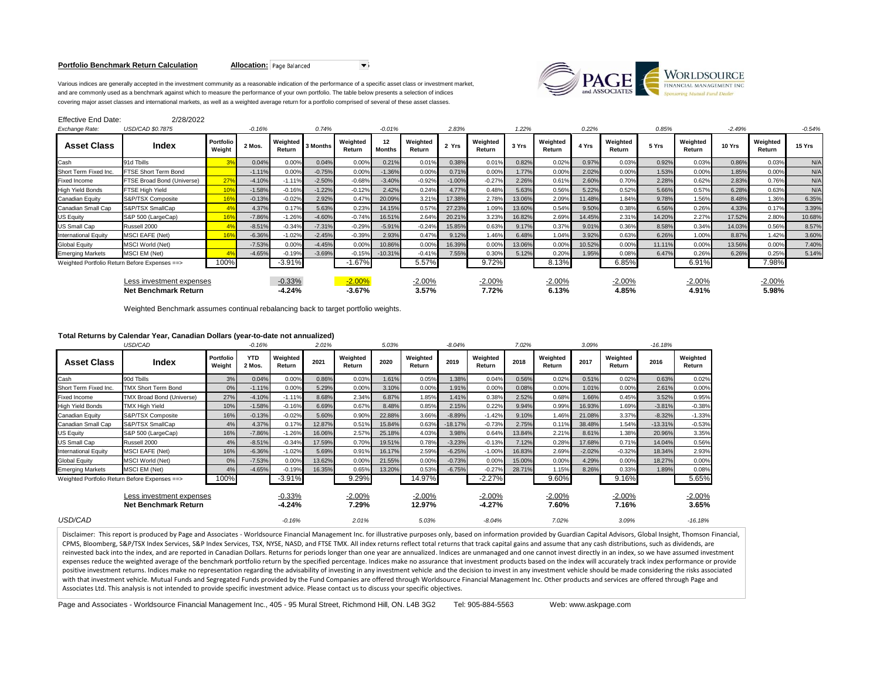## **Portfolio Benchmark Return Calculation Allocation:** Page Balanced



Various indices are generally accepted in the investment community as a reasonable indication of the performance of a specific asset class or investment market, and are commonly used as a benchmark against which to measure the performance of your own portfolio. The table below presents a selection of indices covering major asset classes and international markets, as well as a weighted average return for a portfolio comprised of several of these asset classes.

| <b>Effective End Date:</b>                       | 2/28/2022                  |                     |          |                      |          |                      |                     |                    |          |                    |        |                    |        |                    |        |                    |          |                    |          |
|--------------------------------------------------|----------------------------|---------------------|----------|----------------------|----------|----------------------|---------------------|--------------------|----------|--------------------|--------|--------------------|--------|--------------------|--------|--------------------|----------|--------------------|----------|
| Exchange Rate:                                   | USD/CAD \$0.7875           |                     | $-0.16%$ |                      | 0.74%    |                      | $-0.01%$            |                    | 2.83%    |                    | 1.22%  |                    | 0.22%  |                    | 0.85%  |                    | $-2.49%$ |                    | $-0.54%$ |
| <b>Asset Class</b>                               | Index                      | Portfolio<br>Weight | 2 Mos.   | Weighted<br>Return   | 3 Months | Weighted<br>Return   | 12<br><b>Months</b> | Weighted<br>Return | 2 Yrs    | Weighted<br>Return | 3 Yrs  | Weighted<br>Return | 4 Yrs  | Weighted<br>Return | 5 Yrs  | Weighted<br>Return | 10 Yrs   | Weighted<br>Return | 15 Yrs   |
| Cash                                             | 91d Tbills                 |                     | 0.04%    | 0.00%                | 0.04%    | 0.00%                | 0.21%               | 0.01%              | 0.38%    | 0.01%              | 0.82%  | 0.02%              | 0.97%  | 0.03%              | 0.92%  | 0.03%              | 0.86%    | 0.03%              | N/A      |
| Short Term Fixed Inc.                            | FTSE Short Term Bond       |                     | $-1.11%$ | 0.00%                | $-0.75%$ | 0.00%                | $-1.36%$            | 0.00%              | 0.71%    | 0.00%              | 1.77%  | 0.00%              | 2.02%  | 0.00%              | 1.53%  | 0.00%              | 1.85%    | 0.00%              | N/A      |
| <b>Fixed Income</b>                              | FTSE Broad Bond (Universe) | 27 <sup>0</sup>     | $-4.10%$ | $-1.11%$             | $-2.50%$ | $-0.68%$             | $-3.40%$            | $-0.92%$           | $-1.00%$ | $-0.27%$           | 2.26%  | 0.61%              | 2.60%  | 0.70%              | 2.28%  | 0.62%              | 2.83%    | 0.76%              | N/A      |
| <b>High Yield Bonds</b>                          | FTSE High Yield            |                     | $-1.58%$ | $-0.16%$             | $-1.22%$ | $-0.12%$             | 2.42%               | 0.24%              | 4.77%    | 0.48%              | 5.63%  | 0.56%              | 5.22%  | 0.52%              | 5.66%  | 0.57%              | 6.28%    | 0.63%              | N/A      |
| Canadian Equity                                  | S&P/TSX Composite          |                     | $-0.13%$ | $-0.02%$             | 2.92%    | 0.47%                | 20.09%              | 3.21%              | 17.38%   | 2.78%              | 13.06% | 2.09%              | 11.48% | 1.84%              | 9.78%  | 1.56%              | 8.48%    | 1.36%              | 6.35%    |
| Canadian Small Cap                               | S&P/TSX SmallCap           |                     | 4.37%    | 0.17%                | 5.63%    | 0.23%                | 14.15%              | 0.57%              | 27.23%   | 1.09%              | 13.60% | 0.54%              | 9.50%  | 0.38%              | 6.56%  | 0.26%              | 4.33%    | 0.17%              | 3.39%    |
| <b>US Equity</b>                                 | S&P 500 (LargeCap)         |                     | $-7.86%$ | $-1.26%$             | $-4.60%$ | $-0.74%$             | 16.51%              | 2.64%              | 20.21%   | 3.23%              | 16.82% | 2.69%              | 14.45% | 2.31%              | 14.20% | 2.27%              | 17.52%   | 2.80%              | 10.68%   |
| US Small Cap                                     | Russell 2000               |                     | $-8.51%$ | $-0.34%$             | $-7.31%$ | $-0.29%$             | $-5.91%$            | $-0.24%$           | 15.85%   | 0.63%              | 9.17%  | 0.37%              | 9.01%  | 0.36%              | 8.58%  | 0.34%              | 14.03%   | 0.56%              | 8.57%    |
| <b>International Equity</b>                      | <b>MSCI EAFE (Net)</b>     |                     | $-6.36%$ | $-1.02%$             | $-2.45%$ | $-0.39%$             | 2.93%               | 0.47%              | 9.12%    | 1.46%              | 6.48%  | 1.04%              | 3.92%  | 0.63%              | 6.26%  | 1.00%              | 8.87%    | 1.42%              | 3.60%    |
| <b>Global Equity</b>                             | <b>MSCI World (Net)</b>    |                     | $-7.53%$ | 0.00%                | $-4.45%$ | 0.00%                | 10.86%              | 0.00%              | 16.39%   | 0.00%              | 13.06% | 0.00%              | 10.52% | 0.00%              | 11.11% | 0.00%              | 13.56%   | 0.00%              | 7.40%    |
| <b>Emerging Markets</b>                          | MSCI EM (Net)              |                     | $-4.65%$ | $-0.19%$             | $-3.69%$ | $-0.15%$             | $-10.31%$           | $-0.41%$           | 7.55%    | 0.30%              | 5.12%  | 0.20%              | 1.95%  | 0.08%              | 6.47%  | 0.26%              | 6.26%    | 0.25%              | 5.14%    |
| Weighted Portfolio Return Before Expenses ==>    |                            | 100%                |          | $-3.91%$             |          | $-1.67%$             |                     | 5.57%              |          | 9.72%              |        | 8.13%              |        | 6.85%              |        | 6.91%              |          | 7.98%              |          |
| Less investment expenses<br>Net Benchmark Return |                            |                     |          | $-0.33%$<br>$-4.24%$ |          | $-2.00%$<br>$-3.67%$ |                     | $-2.00\%$<br>3.57% |          | $-2.00%$<br>7.72%  |        | $-2.00\%$<br>6.13% |        | $-2.00\%$<br>4.85% |        | $-2.00%$<br>4.91%  |          | $-2.00%$<br>5.98%  |          |

Weighted Benchmark assumes continual rebalancing back to target portfolio weights.

|                                                         | USD/CAD                                       |                     | $-0.16%$             |                      | 2.01%  |                    | 5.03%  |                    | $-8.04%$  |                      | 7.02%  |                    | 3.09%    |                    | $-16.18%$ |                    |
|---------------------------------------------------------|-----------------------------------------------|---------------------|----------------------|----------------------|--------|--------------------|--------|--------------------|-----------|----------------------|--------|--------------------|----------|--------------------|-----------|--------------------|
| <b>Asset Class</b>                                      | Index                                         | Portfolio<br>Weight | <b>YTD</b><br>2 Mos. | Weighted<br>Return   | 2021   | Weighted<br>Return | 2020   | Weighted<br>Return | 2019      | Weighted<br>Return   | 2018   | Weighted<br>Return | 2017     | Weighted<br>Return | 2016      | Weighted<br>Return |
| Cash                                                    | 90d Tbills                                    | 3%                  | 0.04%                | 0.00%                | 0.86%  | 0.03%              | 1.61%  | 0.05%              | 1.38%     | 0.04%                | 0.56%  | 0.02%              | 0.51%    | 0.02%              | 0.63%     | 0.02%              |
| Short Term Fixed Inc.                                   | <b>TMX Short Term Bond</b>                    | 0%                  | $-1.11%$             | 0.00%                | 5.29%  | 0.00%              | 3.10%  | 0.00%              | 1.91%     | 0.00%                | 0.08%  | 0.00%              | 1.01%    | 0.00%              | 2.61%     | 0.00%              |
| Fixed Income                                            | TMX Broad Bond (Universe)                     | 27%                 | $-4.10%$             | $-1.11%$             | 8.68%  | 2.34%              | 6.87%  | 1.85%              | 1.41%     | 0.38%                | 2.52%  | 0.68%              | 1.66%    | 0.45%              | 3.52%     | 0.95%              |
| <b>High Yield Bonds</b>                                 | <b>TMX High Yield</b>                         | 10%                 | $-1.58%$             | $-0.16%$             | 6.69%  | 0.67%              | 8.48%  | 0.85%              | 2.15%     | 0.22%                | 9.94%  | 0.99%              | 16.93%   | 1.69%              | $-3.81%$  | $-0.38%$           |
| <b>Canadian Equity</b>                                  | S&P/TSX Composite                             | 16%                 | $-0.13%$             | $-0.02%$             | 5.60%  | 0.90%              | 22.88% | 3.66%              | $-8.89%$  | $-1.42%$             | 9.10%  | 1.46%              | 21.08%   | 3.37%              | $-8.32%$  | $-1.33%$           |
| Canadian Small Cap                                      | S&P/TSX SmallCap                              | 4%                  | 4.37%                | 0.17%                | 12.87% | 0.51%              | 15.84% | 0.63%              | $-18.17%$ | $-0.73%$             | 2.75%  | 0.11%              | 38.48%   | 1.54%              | $-13.31%$ | $-0.53%$           |
| <b>US Equity</b>                                        | S&P 500 (LargeCap)                            | 16%                 | $-7.86%$             | $-1.26%$             | 16.06% | 2.57%              | 25.18% | 4.03%              | 3.98%     | 0.64%                | 13.84% | 2.21%              | 8.61%    | 1.38%              | 20.96%    | 3.35%              |
| US Small Cap                                            | Russell 2000                                  | 4%                  | $-8.51%$             | $-0.34%$             | 17.59% | 0.70%              | 19.51% | 0.78%              | $-3.23%$  | $-0.13%$             | 7.12%  | 0.28%              | 17.68%   | 0.71%              | 14.04%    | 0.56%              |
| International Equity                                    | <b>MSCI EAFE (Net)</b>                        | 16%                 | $-6.36%$             | $-1.02%$             | 5.69%  | 0.91%              | 16.17% | 2.59%              | $-6.25%$  | $-1.00%$             | 16.83% | 2.69%              | $-2.02%$ | $-0.32%$           | 18.34%    | 2.93%              |
| <b>Global Equity</b>                                    | <b>MSCI World (Net)</b>                       | 0%                  | $-7.53%$             | 0.00%                | 13.62% | 0.00%              | 21.55% | 0.00%              | $-0.73%$  | 0.00%                | 15.00% | 0.00%              | 4.29%    | 0.00%              | 18.27%    | 0.00%              |
| <b>Emerging Markets</b>                                 | MSCI EM (Net)                                 | 4%                  | $-4.65%$             | $-0.19%$             | 16.35% | 0.65%              | 13.20% | 0.53%              | $-6.75%$  | $-0.27%$             | 28.71% | 1.15%              | 8.26%    | 0.33%              | 1.89%     | 0.08%              |
|                                                         | Weighted Portfolio Return Before Expenses ==> | 100%                |                      | $-3.91%$             |        | 9.29%              |        | 14.97%             |           | $-2.27%$             |        | 9.60%              |          | 9.16%              |           | 5.65%              |
| Less investment expenses<br><b>Net Benchmark Return</b> |                                               |                     |                      | $-0.33%$<br>$-4.24%$ |        | $-2.00%$<br>7.29%  |        | $-2.00%$<br>12.97% |           | $-2.00%$<br>$-4.27%$ |        | $-2.00%$<br>7.60%  |          | $-2.00%$<br>7.16%  |           | $-2.00%$<br>3.65%  |
| USD/CAD                                                 |                                               |                     |                      | $-0.16%$             |        | 2.01%              |        | 5.03%              |           | $-8.04%$             |        | 7.02%              |          | 3.09%              |           | $-16.18%$          |

Disclaimer: This report is produced by Page and Associates - Worldsource Financial Management Inc. for illustrative purposes only, based on information provided by Guardian Capital Advisors, Global Insight, Thomson Financi CPMS, Bloomberg, S&P/TSX Index Services, S&P Index Services, TSX, NYSE, NASD, and FTSE TMX. All index returns reflect total returns that track capital gains and assume that any cash distributions, such as dividends, are reinvested back into the index, and are reported in Canadian Dollars. Returns for periods longer than one year are annualized. Indices are unmanaged and one cannot invest directly in an index, so we have assumed investment expenses reduce the weighted average of the benchmark portfolio return by the specified percentage. Indices make no assurance that investment products based on the index will accurately track index performance or provide positive investment returns. Indices make no representation regarding the advisability of investing in any investment vehicle and the decision to invest in any investment vehicle should be made considering the risks associ with that investment vehicle. Mutual Funds and Segregated Funds provided by the Fund Companies are offered through Worldsource Financial Management Inc. Other products and services are offered through Page and Associates Ltd. This analysis is not intended to provide specific investment advice. Please contact us to discuss your specific objectives.

Page and Associates - Worldsource Financial Management Inc., 405 - 95 Mural Street, Richmond Hill, ON. L4B 3G2 Tel: 905-884-5563 Web: www.askpage.com